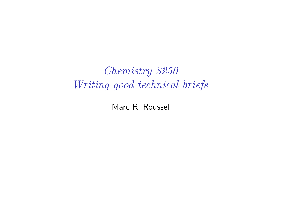Chemistry 3250 Writing good technical briefs

Marc R. Roussel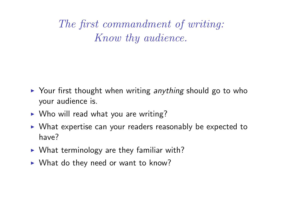The first commandment of writing: Know thy audience.

- $\triangleright$  Your first thought when writing anything should go to who your audience is.
- $\triangleright$  Who will read what you are writing?
- $\triangleright$  What expertise can your readers reasonably be expected to have?
- $\triangleright$  What terminology are they familiar with?
- $\triangleright$  What do they need or want to know?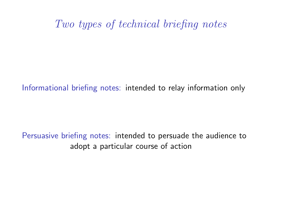#### Two types of technical briefing notes

Informational briefing notes: intended to relay information only

Persuasive briefing notes: intended to persuade the audience to adopt a particular course of action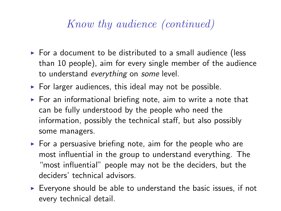### Know thy audience (continued)

- $\triangleright$  For a document to be distributed to a small audience (less than 10 people), aim for every single member of the audience to understand everything on some level.
- $\triangleright$  For larger audiences, this ideal may not be possible.
- $\triangleright$  For an informational briefing note, aim to write a note that can be fully understood by the people who need the information, possibly the technical staff, but also possibly some managers.
- $\triangleright$  For a persuasive briefing note, aim for the people who are most influential in the group to understand everything. The "most influential" people may not be the deciders, but the deciders' technical advisors.
- $\triangleright$  Everyone should be able to understand the basic issues, if not every technical detail.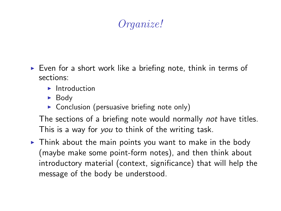# Organize!

- $\triangleright$  Even for a short work like a briefing note, think in terms of sections:
	- $\blacktriangleright$  Introduction
	- $\blacktriangleright$  Body
	- $\triangleright$  Conclusion (persuasive briefing note only)

The sections of a briefing note would normally not have titles. This is a way for you to think of the writing task.

 $\triangleright$  Think about the main points you want to make in the body (maybe make some point-form notes), and then think about introductory material (context, significance) that will help the message of the body be understood.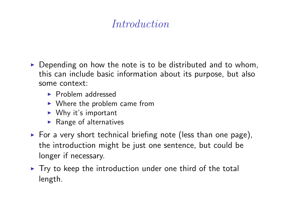## Introduction

- $\triangleright$  Depending on how the note is to be distributed and to whom, this can include basic information about its purpose, but also some context:
	- $\blacktriangleright$  Problem addressed
	- $\triangleright$  Where the problem came from
	- $\triangleright$  Why it's important
	- $\blacktriangleright$  Range of alternatives
- $\triangleright$  For a very short technical briefing note (less than one page), the introduction might be just one sentence, but could be longer if necessary.
- $\triangleright$  Try to keep the introduction under one third of the total length.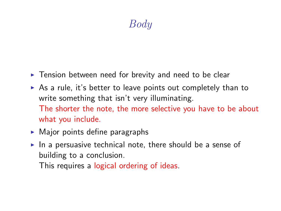# Body

- $\blacktriangleright$  Tension between need for brevity and need to be clear
- $\triangleright$  As a rule, it's better to leave points out completely than to write something that isn't very illuminating. The shorter the note, the more selective you have to be about what you include.
- $\triangleright$  Major points define paragraphs
- In a persuasive technical note, there should be a sense of building to a conclusion.

This requires a logical ordering of ideas.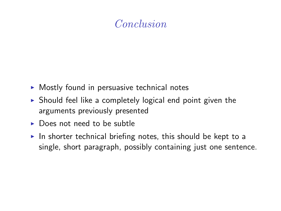### Conclusion

- $\triangleright$  Mostly found in persuasive technical notes
- $\triangleright$  Should feel like a completely logical end point given the arguments previously presented
- $\triangleright$  Does not need to be subtle
- In shorter technical briefing notes, this should be kept to a single, short paragraph, possibly containing just one sentence.